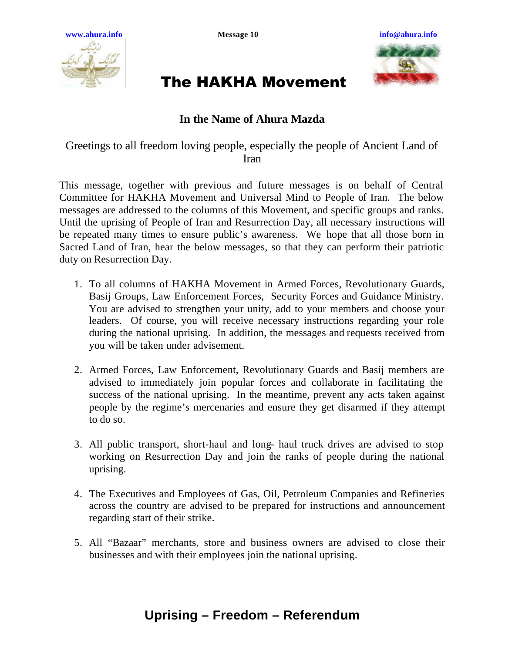



## The HAKHA Movement

## **In the Name of Ahura Mazda**

Greetings to all freedom loving people, especially the people of Ancient Land of Iran

This message, together with previous and future messages is on behalf of Central Committee for HAKHA Movement and Universal Mind to People of Iran. The below messages are addressed to the columns of this Movement, and specific groups and ranks. Until the uprising of People of Iran and Resurrection Day, all necessary instructions will be repeated many times to ensure public's awareness. We hope that all those born in Sacred Land of Iran, hear the below messages, so that they can perform their patriotic duty on Resurrection Day.

- 1. To all columns of HAKHA Movement in Armed Forces, Revolutionary Guards, Basij Groups, Law Enforcement Forces, Security Forces and Guidance Ministry. You are advised to strengthen your unity, add to your members and choose your leaders. Of course, you will receive necessary instructions regarding your role during the national uprising. In addition, the messages and requests received from you will be taken under advisement.
- 2. Armed Forces, Law Enforcement, Revolutionary Guards and Basij members are advised to immediately join popular forces and collaborate in facilitating the success of the national uprising. In the meantime, prevent any acts taken against people by the regime's mercenaries and ensure they get disarmed if they attempt to do so.
- 3. All public transport, short-haul and long- haul truck drives are advised to stop working on Resurrection Day and join the ranks of people during the national uprising.
- 4. The Executives and Employees of Gas, Oil, Petroleum Companies and Refineries across the country are advised to be prepared for instructions and announcement regarding start of their strike.
- 5. All "Bazaar" merchants, store and business owners are advised to close their businesses and with their employees join the national uprising.